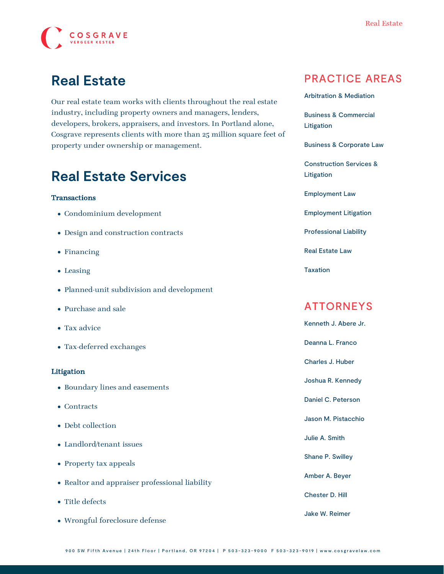

# **Real Estate**

Our real estate team works with clients throughout the real estate industry, including property owners and managers, lenders, developers, brokers, appraisers, and investors. In Portland alone, Cosgrave represents clients with more than 25 million square feet of property under ownership or management.

### **Real Estate Services**

#### **Transactions**

- Condominium development
- Design and construction contracts
- Financing
- Leasing
- Planned-unit subdivision and development
- Purchase and sale
- Tax advice
- Tax-deferred exchanges

#### Litigation

- Boundary lines and easements
- Contracts
- Debt collection
- Landlord/tenant issues
- Property tax appeals
- Realtor and appraiser professional liability
- Title defects
- Wrongful foreclosure defense

### PRACTICE AREAS

[Arbitration & Mediation](https://www.cosgravelaw.com/arbitration-mediation/)

[Business & Commercial](https://www.cosgravelaw.com/business-commercial-litigation/) [Litigation](https://www.cosgravelaw.com/business-commercial-litigation/)

[Business & Corporate Law](https://www.cosgravelaw.com/business-representation-transactions/)

[Construction Services &](https://www.cosgravelaw.com/construction-services-litigation/) [Litigation](https://www.cosgravelaw.com/construction-services-litigation/)

[Employment Law](https://www.cosgravelaw.com/employee-relations-hr-advice-counsel/)

[Employment Litigation](https://www.cosgravelaw.com/employment-litigation/)

[Professional Liability](https://www.cosgravelaw.com/professional-liability/)

[Real Estate Law](https://www.cosgravelaw.com/real-estate-law/)

[Taxation](https://www.cosgravelaw.com/taxation/)

### ATTORNEYS

[Kenneth J. Abere Jr.](https://www.cosgravelaw.com/kenneth-abere/) [Deanna L. Franco](https://www.cosgravelaw.com/deanna-l-franco-trust-estate-planning/) [Charles J. Huber](https://www.cosgravelaw.com/charles-huber-business-representation-transactions/) [Joshua R. Kennedy](https://www.cosgravelaw.com/joshua-kennedy-construction-litigation-attorney/) [Daniel C. Peterson](https://www.cosgravelaw.com/daniel-peterson-creditors-rights/) [Jason M. Pistacchio](https://www.cosgravelaw.com/jason-pistacchio-construction-lien-attorney/) [Julie A. Smith](https://www.cosgravelaw.com/julie-smith-appellate-litigation-services/) [Shane P. Swilley](https://www.cosgravelaw.com/shane-swilley-employment-law/) [Amber A. Beyer](https://www.cosgravelaw.com/amber-a-beyer-business-litigation-attorney/) [Chester D. Hill](https://www.cosgravelaw.com/chester-hill-commercial-landlord-tenant-attorney/) [Jake W. Reimer](https://www.cosgravelaw.com/jake-w-reimer/)